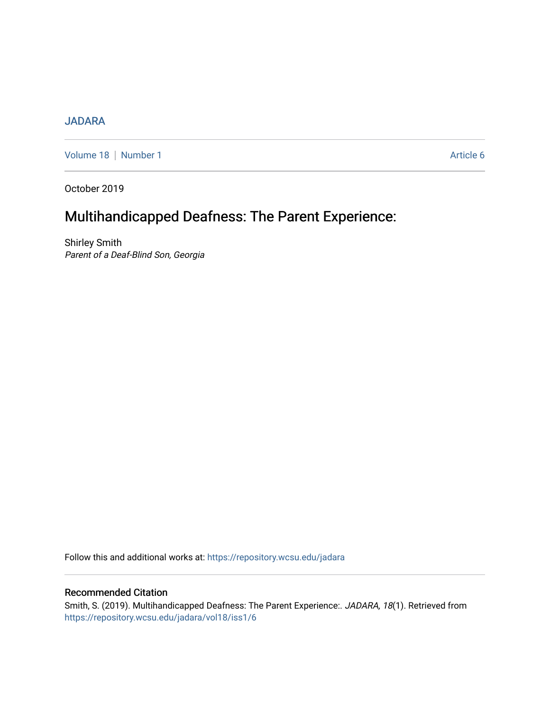## [JADARA](https://repository.wcsu.edu/jadara)

[Volume 18](https://repository.wcsu.edu/jadara/vol18) | [Number 1](https://repository.wcsu.edu/jadara/vol18/iss1) Article 6

October 2019

# Multihandicapped Deafness: The Parent Experience:

Shirley Smith Parent of a Deaf-Blind Son, Georgia

Follow this and additional works at: [https://repository.wcsu.edu/jadara](https://repository.wcsu.edu/jadara?utm_source=repository.wcsu.edu%2Fjadara%2Fvol18%2Fiss1%2F6&utm_medium=PDF&utm_campaign=PDFCoverPages)

### Recommended Citation

Smith, S. (2019). Multihandicapped Deafness: The Parent Experience:. JADARA, 18(1). Retrieved from [https://repository.wcsu.edu/jadara/vol18/iss1/6](https://repository.wcsu.edu/jadara/vol18/iss1/6?utm_source=repository.wcsu.edu%2Fjadara%2Fvol18%2Fiss1%2F6&utm_medium=PDF&utm_campaign=PDFCoverPages)